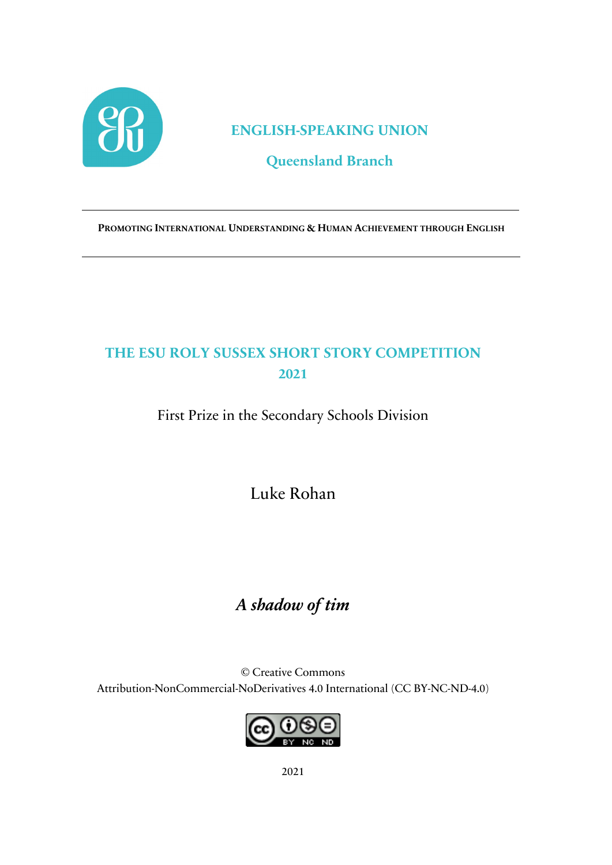

### **ENGLISH-SPEAKING UNION**

### **Queensland Branch**

**PROMOTING INTERNATIONAL UNDERSTANDING & HUMAN ACHIEVEMENT THROUGH ENGLISH**

## **THE ESU ROLY SUSSEX SHORT STORY COMPETITION 2021**

First Prize in the Secondary Schools Division

Luke Rohan

# *A shadow of tim*

© Creative Commons Attribution-NonCommercial-NoDerivatives 4.0 International (CC BY-NC-ND-4.0)

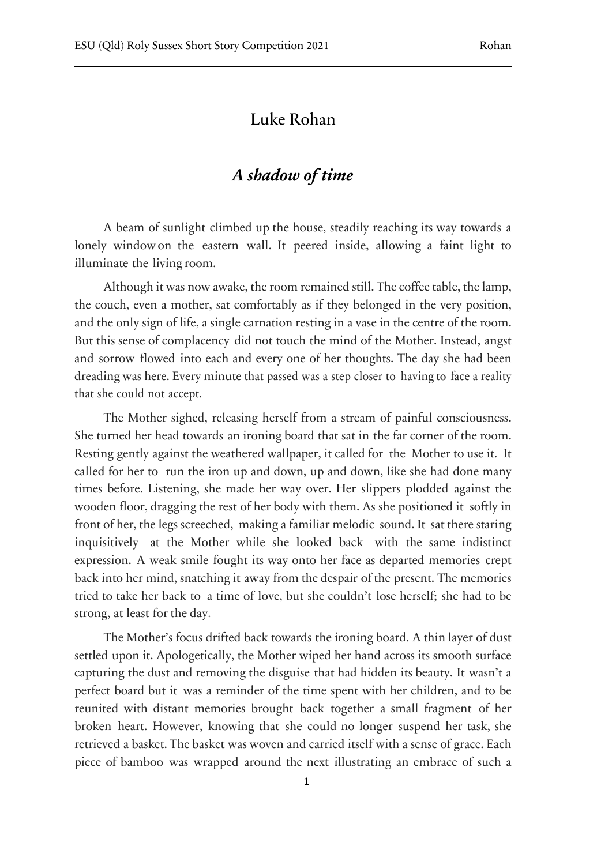#### Luke Rohan

### *A shadow of time*

A beam of sunlight climbed up the house, steadily reaching its way towards a lonely window on the eastern wall. It peered inside, allowing a faint light to illuminate the living room.

Although it was now awake, the room remained still. The coffee table, the lamp, the couch, even a mother, sat comfortably as if they belonged in the very position, and the only sign of life, a single carnation resting in a vase in the centre of the room. But this sense of complacency did not touch the mind of the Mother. Instead, angst and sorrow flowed into each and every one of her thoughts. The day she had been dreading was here. Every minute that passed was a step closer to having to face a reality that she could not accept.

The Mother sighed, releasing herself from a stream of painful consciousness. She turned her head towards an ironing board that sat in the far corner of the room. Resting gently against the weathered wallpaper, it called for the Mother to use it. It called for her to run the iron up and down, up and down, like she had done many times before. Listening, she made her way over. Her slippers plodded against the wooden floor, dragging the rest of her body with them. As she positioned it softly in front of her, the legs screeched, making a familiar melodic sound. It sat there staring inquisitively at the Mother while she looked back with the same indistinct expression. A weak smile fought its way onto her face as departed memories crept back into her mind, snatching it away from the despair of the present. The memories tried to take her back to a time of love, but she couldn't lose herself; she had to be strong, at least for the day.

The Mother's focus drifted back towards the ironing board. A thin layer of dust settled upon it. Apologetically, the Mother wiped her hand across its smooth surface capturing the dust and removing the disguise that had hidden its beauty. It wasn't a perfect board but it was a reminder of the time spent with her children, and to be reunited with distant memories brought back together a small fragment of her broken heart. However, knowing that she could no longer suspend her task, she retrieved a basket. The basket was woven and carried itself with a sense of grace. Each piece of bamboo was wrapped around the next illustrating an embrace of such a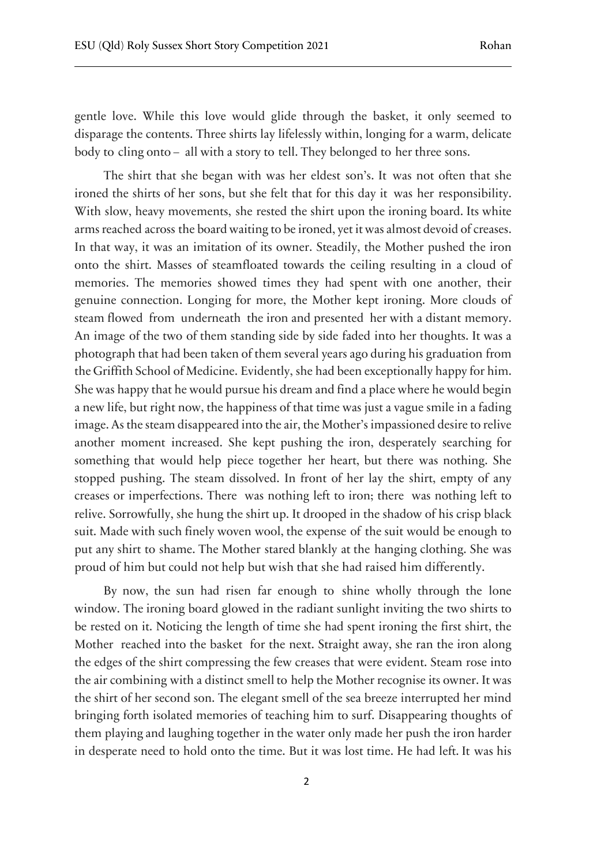gentle love. While this love would glide through the basket, it only seemed to disparage the contents. Three shirts lay lifelessly within, longing for a warm, delicate body to cling onto – all with a story to tell. They belonged to her three sons.

The shirt that she began with was her eldest son's. It was not often that she ironed the shirts of her sons, but she felt that for this day it was her responsibility. With slow, heavy movements, she rested the shirt upon the ironing board. Its white arms reached across the board waiting to be ironed, yet it was almost devoid of creases. In that way, it was an imitation of its owner. Steadily, the Mother pushed the iron onto the shirt. Masses of steamfloated towards the ceiling resulting in a cloud of memories. The memories showed times they had spent with one another, their genuine connection. Longing for more, the Mother kept ironing. More clouds of steam flowed from underneath the iron and presented her with a distant memory. An image of the two of them standing side by side faded into her thoughts. It was a photograph that had been taken of them several years ago during his graduation from the Griffith School of Medicine. Evidently, she had been exceptionally happy for him. She was happy that he would pursue his dream and find a place where he would begin a new life, but right now, the happiness of that time was just a vague smile in a fading image. As the steam disappeared into the air, the Mother's impassioned desire to relive another moment increased. She kept pushing the iron, desperately searching for something that would help piece together her heart, but there was nothing. She stopped pushing. The steam dissolved. In front of her lay the shirt, empty of any creases or imperfections. There was nothing left to iron; there was nothing left to relive. Sorrowfully, she hung the shirt up. It drooped in the shadow of his crisp black suit. Made with such finely woven wool, the expense of the suit would be enough to put any shirt to shame. The Mother stared blankly at the hanging clothing. She was proud of him but could not help but wish that she had raised him differently.

By now, the sun had risen far enough to shine wholly through the lone window. The ironing board glowed in the radiant sunlight inviting the two shirts to be rested on it. Noticing the length of time she had spent ironing the first shirt, the Mother reached into the basket for the next. Straight away, she ran the iron along the edges of the shirt compressing the few creases that were evident. Steam rose into the air combining with a distinct smell to help the Mother recognise its owner. It was the shirt of her second son. The elegant smell of the sea breeze interrupted her mind bringing forth isolated memories of teaching him to surf. Disappearing thoughts of them playing and laughing together in the water only made her push the iron harder in desperate need to hold onto the time. But it was lost time. He had left. It was his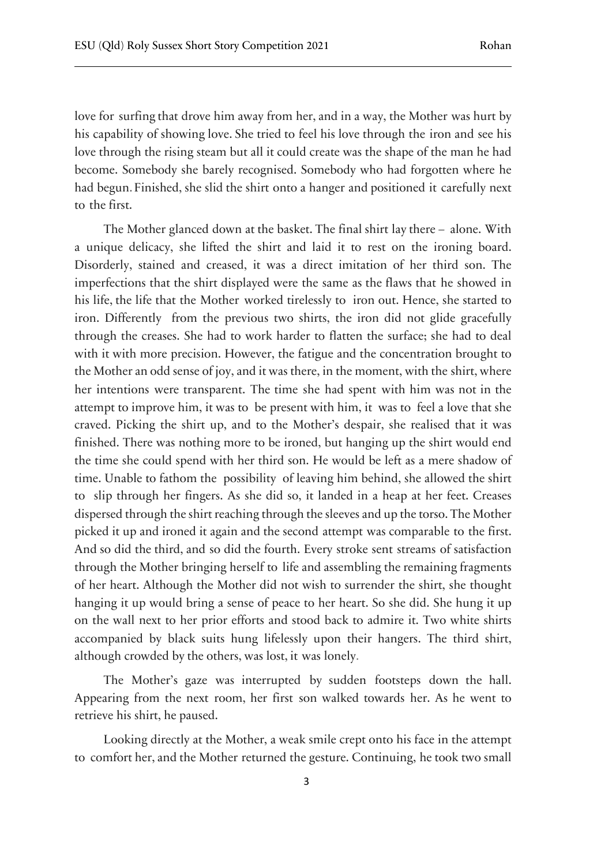love for surfing that drove him away from her, and in a way, the Mother was hurt by his capability of showing love. She tried to feel his love through the iron and see his love through the rising steam but all it could create was the shape of the man he had become. Somebody she barely recognised. Somebody who had forgotten where he had begun. Finished, she slid the shirt onto a hanger and positioned it carefully next to the first.

The Mother glanced down at the basket. The final shirt lay there – alone. With a unique delicacy, she lifted the shirt and laid it to rest on the ironing board. Disorderly, stained and creased, it was a direct imitation of her third son. The imperfections that the shirt displayed were the same as the flaws that he showed in his life, the life that the Mother worked tirelessly to iron out. Hence, she started to iron. Differently from the previous two shirts, the iron did not glide gracefully through the creases. She had to work harder to flatten the surface; she had to deal with it with more precision. However, the fatigue and the concentration brought to the Mother an odd sense of joy, and it was there, in the moment, with the shirt, where her intentions were transparent. The time she had spent with him was not in the attempt to improve him, it was to be present with him, it was to feel a love that she craved. Picking the shirt up, and to the Mother's despair, she realised that it was finished. There was nothing more to be ironed, but hanging up the shirt would end the time she could spend with her third son. He would be left as a mere shadow of time. Unable to fathom the possibility of leaving him behind, she allowed the shirt to slip through her fingers. As she did so, it landed in a heap at her feet. Creases dispersed through the shirt reaching through the sleeves and up the torso. The Mother picked it up and ironed it again and the second attempt was comparable to the first. And so did the third, and so did the fourth. Every stroke sent streams of satisfaction through the Mother bringing herself to life and assembling the remaining fragments of her heart. Although the Mother did not wish to surrender the shirt, she thought hanging it up would bring a sense of peace to her heart. So she did. She hung it up on the wall next to her prior efforts and stood back to admire it. Two white shirts accompanied by black suits hung lifelessly upon their hangers. The third shirt, although crowded by the others, was lost, it was lonely.

The Mother's gaze was interrupted by sudden footsteps down the hall. Appearing from the next room, her first son walked towards her. As he went to retrieve his shirt, he paused.

Looking directly at the Mother, a weak smile crept onto his face in the attempt to comfort her, and the Mother returned the gesture. Continuing, he took two small